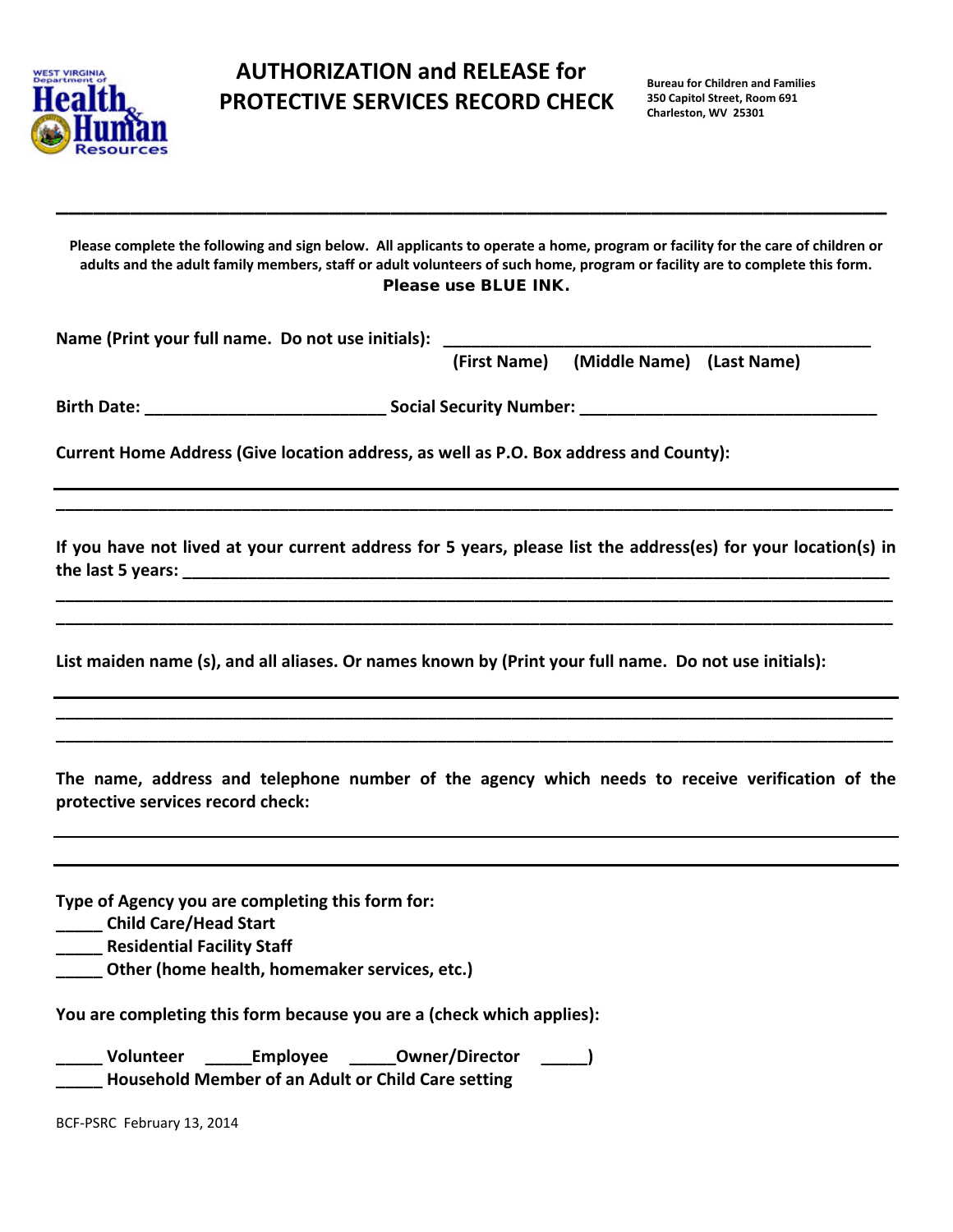

## **AUTHORIZATION and RELEASE for AUTHORIZATION PROTECTIVE SERVICES RECORD CHECK**

**Please complete the following and sign below. All applicants to operate a home, program or facility for the care of children or adults and the adult family members, staff or adult volunteers of such home, program or facility are to complete this form.**  Please use BLUE INK.

**\_\_\_\_\_\_\_\_\_\_\_\_\_\_\_\_\_\_\_\_\_\_\_\_\_\_\_\_\_\_\_\_\_\_\_\_\_\_\_\_\_\_\_\_\_\_\_\_\_\_\_\_\_\_\_\_\_\_\_\_\_\_\_\_\_\_\_** 

Name (Print your full name. Do not use initials):

 **(First Name) (Middle Name) (Last Name)**

**Birth Date: \_\_\_\_\_\_\_\_\_\_\_\_\_\_\_\_\_\_\_\_\_\_\_\_\_\_ Social Security Number: \_\_\_\_\_\_\_\_\_\_\_\_\_\_\_\_\_\_\_\_\_\_\_\_\_\_\_\_\_\_\_\_**

**Current Home Address (Give location address, as well as P.O. Box address and County):**

**If you have not lived at your current address for 5 years, please list the address(es) for your location(s) in the last 5 years: \_\_\_\_\_\_\_\_\_\_\_\_\_\_\_\_\_\_\_\_\_\_\_\_\_\_\_\_\_\_\_\_\_\_\_\_\_\_\_\_\_\_\_\_\_\_\_\_\_\_\_\_\_\_\_\_\_\_\_\_\_\_\_\_\_\_\_\_\_\_\_\_\_\_\_\_**

**\_\_\_\_\_\_\_\_\_\_\_\_\_\_\_\_\_\_\_\_\_\_\_\_\_\_\_\_\_\_\_\_\_\_\_\_\_\_\_\_\_\_\_\_\_\_\_\_\_\_\_\_\_\_\_\_\_\_\_\_\_\_\_\_\_\_\_\_\_\_\_\_\_\_\_\_\_\_\_\_\_\_\_\_\_\_\_\_\_\_ \_\_\_\_\_\_\_\_\_\_\_\_\_\_\_\_\_\_\_\_\_\_\_\_\_\_\_\_\_\_\_\_\_\_\_\_\_\_\_\_\_\_\_\_\_\_\_\_\_\_\_\_\_\_\_\_\_\_\_\_\_\_\_\_\_\_\_\_\_\_\_\_\_\_\_\_\_\_\_\_\_\_\_\_\_\_\_\_\_\_**

**\_\_\_\_\_\_\_\_\_\_\_\_\_\_\_\_\_\_\_\_\_\_\_\_\_\_\_\_\_\_\_\_\_\_\_\_\_\_\_\_\_\_\_\_\_\_\_\_\_\_\_\_\_\_\_\_\_\_\_\_\_\_\_\_\_\_\_\_\_\_\_\_\_\_\_\_\_\_\_\_\_\_\_\_\_\_\_\_\_\_**

**List maiden name (s), and all aliases. Or names known by (Print your full name. Do not use initials):**

**The name, address and telephone number of the agency which needs to receive verification of the protective services record check:**

**\_\_\_\_\_\_\_\_\_\_\_\_\_\_\_\_\_\_\_\_\_\_\_\_\_\_\_\_\_\_\_\_\_\_\_\_\_\_\_\_\_\_\_\_\_\_\_\_\_\_\_\_\_\_\_\_\_\_\_\_\_\_\_\_\_\_\_\_\_\_\_\_\_\_\_\_\_\_\_\_\_\_\_\_\_\_\_\_\_\_ \_\_\_\_\_\_\_\_\_\_\_\_\_\_\_\_\_\_\_\_\_\_\_\_\_\_\_\_\_\_\_\_\_\_\_\_\_\_\_\_\_\_\_\_\_\_\_\_\_\_\_\_\_\_\_\_\_\_\_\_\_\_\_\_\_\_\_\_\_\_\_\_\_\_\_\_\_\_\_\_\_\_\_\_\_\_\_\_\_\_** 

**Type of Agency you are completing this form for:**

**\_\_\_\_\_ Child Care/Head Start**

**\_\_\_\_\_ Residential Facility Staff** 

**\_\_\_\_\_ Other (home health, homemaker services, etc.)** 

**You are completing this form because you are a (check which applies):**

**\_\_\_\_\_ Volunteer \_\_\_\_\_Employee \_\_\_\_\_Owner/Director \_\_\_\_\_) \_\_\_\_\_ Household Member of an Adult or Child Care setting** 

BCF-PSRC February 13, 2014